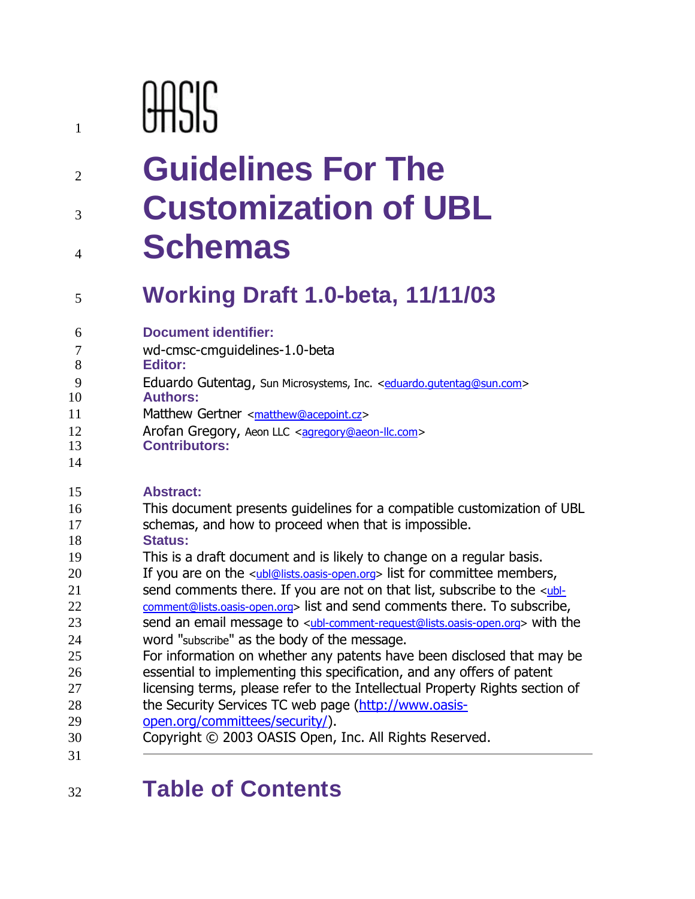# AASIS

## **Guidelines For The Customization of UBL Schemas**

## **Working Draft 1.0-beta, 11/11/03**

| <b>Document identifier:</b>   |
|-------------------------------|
| wd-cmsc-cmguidelines-1.0-beta |

- **Editor:**
- **Eduardo Gutentag, Sun Microsystems, Inc.** <eduardo.gutentag@sun.com>
- **Authors:**
- Matthew Gertner <matthew@acepoint.cz>
- **Arofan Gregory, Aeon LLC <agregory@aeon-llc.com>**
- **Contributors:**
- 

#### **Abstract:**

- This document presents guidelines for a compatible customization of UBL
- schemas, and how to proceed when that is impossible.
- **Status:**
- This is a draft document and is likely to change on a regular basis.
- 20 If you are on the <ubl@lists.oasis-open.org> list for committee members,
- 21 send comments there. If you are not on that list, subscribe to the  $\leftarrow$ ubl-
- 22 comment@lists.oasis-open.org> list and send comments there. To subscribe, send an email message to <ubl-comment-request@lists.oasis-open.org> with the word "subscribe" as the body of the message.
- For information on whether any patents have been disclosed that may be essential to implementing this specification, and any offers of patent 27 licensing terms, please refer to the Intellectual Property Rights section of
- the Security Services TC web page (http://www.oasis-
- open.org/committees/security/).
- Copyright © 2003 OASIS Open, Inc. All Rights Reserved.
- 
- **Table of Contents**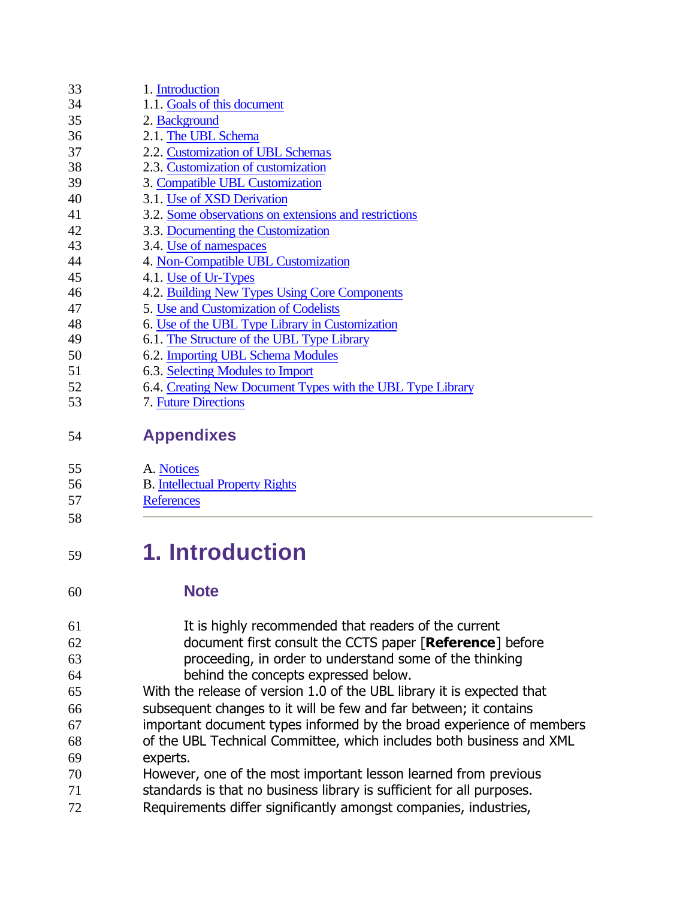| 33       | 1. Introduction                                                        |
|----------|------------------------------------------------------------------------|
| 34       | 1.1. Goals of this document                                            |
| 35       | 2. Background                                                          |
| 36       | 2.1. The UBL Schema                                                    |
| 37       | 2.2. Customization of UBL Schemas                                      |
| 38       | 2.3. Customization of customization                                    |
| 39       | 3. Compatible UBL Customization                                        |
| 40       | 3.1. Use of XSD Derivation                                             |
| 41       | 3.2. Some observations on extensions and restrictions                  |
| 42       | 3.3. Documenting the Customization                                     |
| 43       | 3.4. Use of namespaces                                                 |
| 44       | 4. Non-Compatible UBL Customization                                    |
| 45       | 4.1. Use of Ur-Types                                                   |
| 46       | 4.2. Building New Types Using Core Components                          |
| 47       | 5. Use and Customization of Codelists                                  |
| 48       | 6. Use of the UBL Type Library in Customization                        |
| 49       | 6.1. The Structure of the UBL Type Library                             |
| 50       | 6.2. Importing UBL Schema Modules                                      |
| 51       | 6.3. Selecting Modules to Import                                       |
| 52       | 6.4. Creating New Document Types with the UBL Type Library             |
| 53       | 7. Future Directions                                                   |
| 54       | <b>Appendixes</b>                                                      |
|          |                                                                        |
| 55       |                                                                        |
| 56       | A. Notices                                                             |
| 57       | <b>B.</b> Intellectual Property Rights<br><b>References</b>            |
| 58       |                                                                        |
| 59       | 1. Introduction                                                        |
|          |                                                                        |
| 60       | <b>Note</b>                                                            |
| 61       |                                                                        |
|          | It is highly recommended that readers of the current                   |
| 62       | document first consult the CCTS paper [Reference] before               |
| 63       | proceeding, in order to understand some of the thinking                |
| 64       | behind the concepts expressed below.                                   |
| 65       | With the release of version 1.0 of the UBL library it is expected that |
| 66       | subsequent changes to it will be few and far between; it contains      |
| 67       | important document types informed by the broad experience of members   |
| 68       | of the UBL Technical Committee, which includes both business and XML   |
| 69       | experts.                                                               |
| 70<br>71 | However, one of the most important lesson learned from previous        |
|          | standards is that no business library is sufficient for all purposes.  |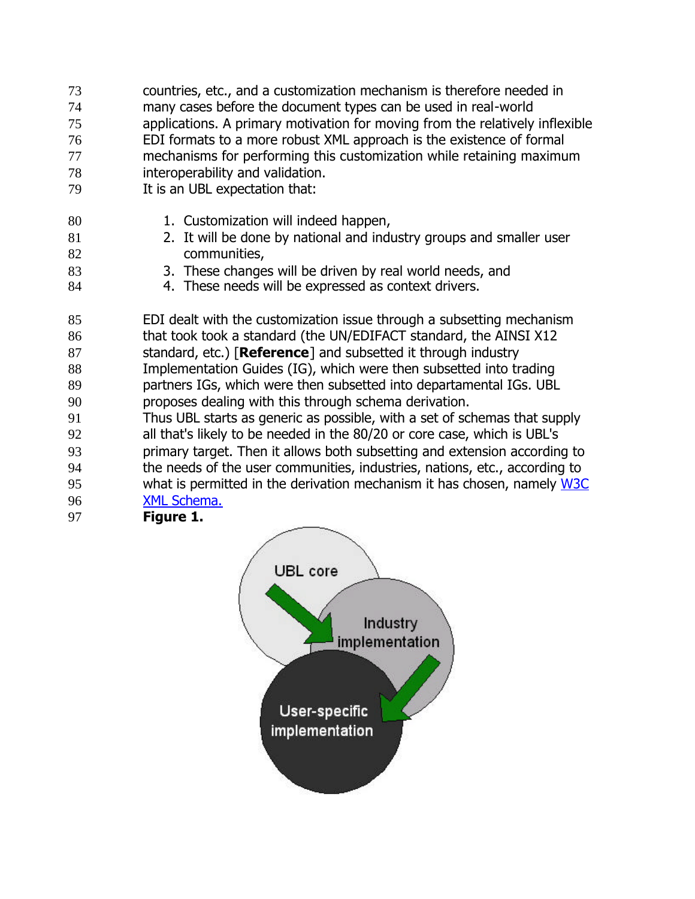- countries, etc., and a customization mechanism is therefore needed in many cases before the document types can be used in real-world applications. A primary motivation for moving from the relatively inflexible EDI formats to a more robust XML approach is the existence of formal mechanisms for performing this customization while retaining maximum interoperability and validation.
- It is an UBL expectation that:
- 1. Customization will indeed happen,
- 2. It will be done by national and industry groups and smaller user
- communities,
- 3. These changes will be driven by real world needs, and
- 84 4. These needs will be expressed as context drivers.
- EDI dealt with the customization issue through a subsetting mechanism that took took a standard (the UN/EDIFACT standard, the AINSI X12 standard, etc.) [**Reference**] and subsetted it through industry Implementation Guides (IG), which were then subsetted into trading partners IGs, which were then subsetted into departamental IGs. UBL proposes dealing with this through schema derivation. Thus UBL starts as generic as possible, with a set of schemas that supply
- all that's likely to be needed in the 80/20 or core case, which is UBL's primary target. Then it allows both subsetting and extension according to the needs of the user communities, industries, nations, etc., according to
- 95 what is permitted in the derivation mechanism it has chosen, namely W3C XML Schema.
- **Figure 1.**

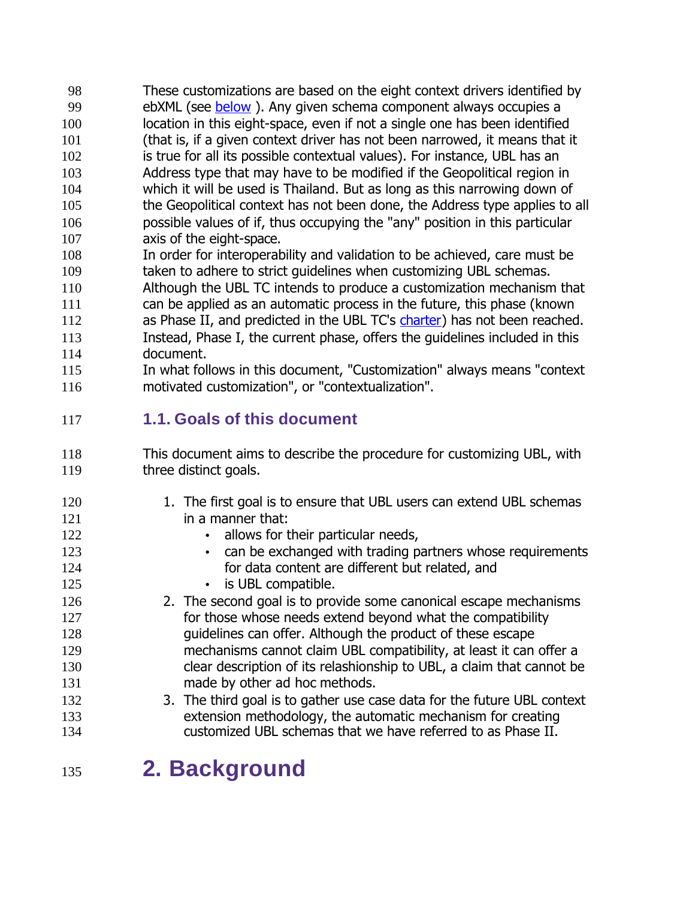- These customizations are based on the eight context drivers identified by 99 ebXML (see below ). Any given schema component always occupies a location in this eight-space, even if not a single one has been identified (that is, if a given context driver has not been narrowed, it means that it 102 is true for all its possible contextual values). For instance, UBL has an Address type that may have to be modified if the Geopolitical region in which it will be used is Thailand. But as long as this narrowing down of 105 the Geopolitical context has not been done, the Address type applies to all possible values of if, thus occupying the "any" position in this particular axis of the eight-space.
- In order for interoperability and validation to be achieved, care must be taken to adhere to strict guidelines when customizing UBL schemas.
- Although the UBL TC intends to produce a customization mechanism that can be applied as an automatic process in the future, this phase (known 112 as Phase II, and predicted in the UBL TC's charter) has not been reached.
- Instead, Phase I, the current phase, offers the guidelines included in this document.
- In what follows in this document, "Customization" always means "context motivated customization", or "contextualization".

## **1.1. Goals of this document**

- This document aims to describe the procedure for customizing UBL, with **three distinct goals.**
- 120 1. The first goal is to ensure that UBL users can extend UBL schemas **in a manner that:**
- **allows for their particular needs,**
- **Can be exchanged with trading partners whose requirements** for data content are different but related, and
- **is UBL compatible.**
- 2. The second goal is to provide some canonical escape mechanisms **for those whose needs extend beyond what the compatibility**  guidelines can offer. Although the product of these escape mechanisms cannot claim UBL compatibility, at least it can offer a clear description of its relashionship to UBL, a claim that cannot be made by other ad hoc methods.
- 3. The third goal is to gather use case data for the future UBL context extension methodology, the automatic mechanism for creating customized UBL schemas that we have referred to as Phase II.
- **2. Background**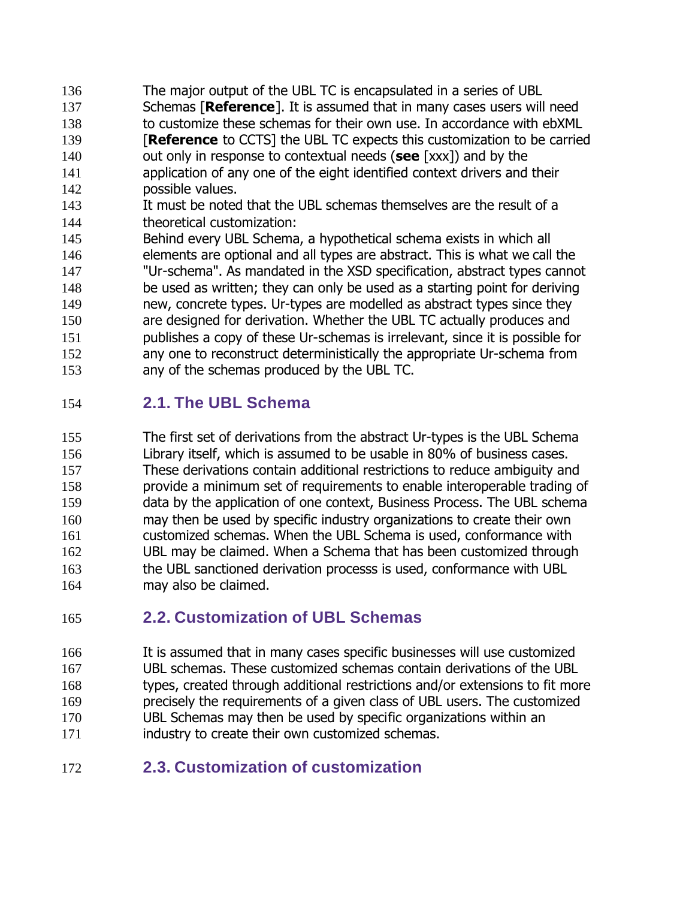The major output of the UBL TC is encapsulated in a series of UBL Schemas [**Reference**]. It is assumed that in many cases users will need to customize these schemas for their own use. In accordance with ebXML [**Reference** to CCTS] the UBL TC expects this customization to be carried out only in response to contextual needs (**see** [xxx]) and by the application of any one of the eight identified context drivers and their possible values. It must be noted that the UBL schemas themselves are the result of a theoretical customization: Behind every UBL Schema, a hypothetical schema exists in which all elements are optional and all types are abstract. This is what we call the "Ur-schema". As mandated in the XSD specification, abstract types cannot be used as written; they can only be used as a starting point for deriving new, concrete types. Ur-types are modelled as abstract types since they are designed for derivation. Whether the UBL TC actually produces and publishes a copy of these Ur-schemas is irrelevant, since it is possible for

 any one to reconstruct deterministically the appropriate Ur-schema from any of the schemas produced by the UBL TC.

## **2.1. The UBL Schema**

 The first set of derivations from the abstract Ur-types is the UBL Schema Library itself, which is assumed to be usable in 80% of business cases. These derivations contain additional restrictions to reduce ambiguity and provide a minimum set of requirements to enable interoperable trading of data by the application of one context, Business Process. The UBL schema may then be used by specific industry organizations to create their own customized schemas. When the UBL Schema is used, conformance with UBL may be claimed. When a Schema that has been customized through the UBL sanctioned derivation processs is used, conformance with UBL may also be claimed.

## **2.2. Customization of UBL Schemas**

 It is assumed that in many cases specific businesses will use customized UBL schemas. These customized schemas contain derivations of the UBL types, created through additional restrictions and/or extensions to fit more precisely the requirements of a given class of UBL users. The customized UBL Schemas may then be used by specific organizations within an industry to create their own customized schemas.

**2.3. Customization of customization**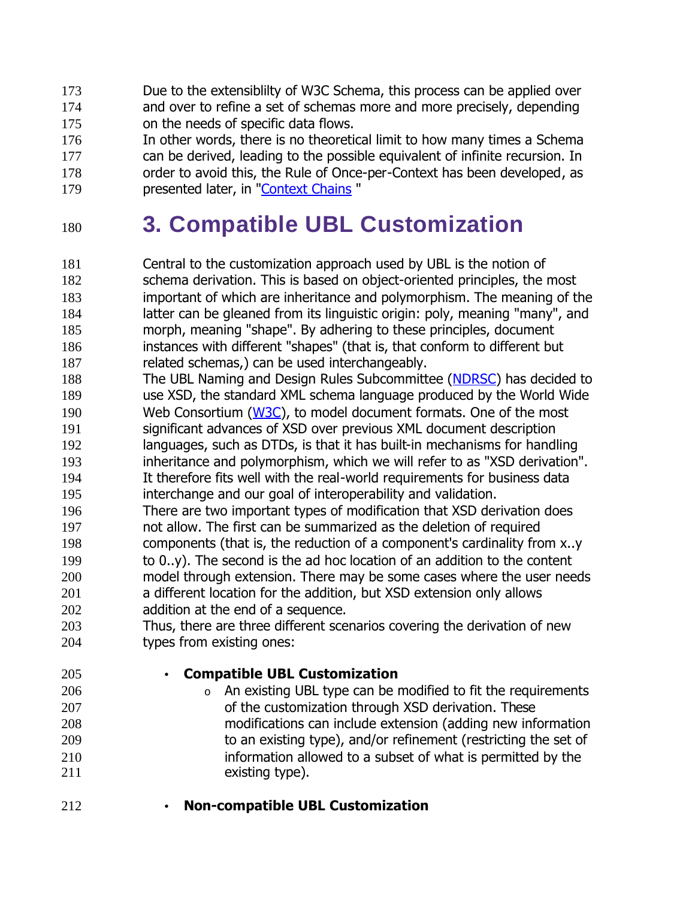- Due to the extensiblilty of W3C Schema, this process can be applied over and over to refine a set of schemas more and more precisely, depending on the needs of specific data flows.
- In other words, there is no theoretical limit to how many times a Schema can be derived, leading to the possible equivalent of infinite recursion. In order to avoid this, the Rule of Once-per-Context has been developed, as presented later, in "Context Chains "

## **3. Compatible UBL Customization**

- Central to the customization approach used by UBL is the notion of schema derivation. This is based on object-oriented principles, the most important of which are inheritance and polymorphism. The meaning of the latter can be gleaned from its linguistic origin: poly, meaning "many", and morph, meaning "shape". By adhering to these principles, document instances with different "shapes" (that is, that conform to different but related schemas,) can be used interchangeably.
- The UBL Naming and Design Rules Subcommittee (NDRSC) has decided to use XSD, the standard XML schema language produced by the World Wide 190 Web Consortium (W3C), to model document formats. One of the most significant advances of XSD over previous XML document description
- languages, such as DTDs, is that it has built-in mechanisms for handling inheritance and polymorphism, which we will refer to as "XSD derivation". It therefore fits well with the real-world requirements for business data interchange and our goal of interoperability and validation.
- There are two important types of modification that XSD derivation does not allow. The first can be summarized as the deletion of required components (that is, the reduction of a component's cardinality from x..y to 0..y). The second is the ad hoc location of an addition to the content model through extension. There may be some cases where the user needs 201 a different location for the addition, but XSD extension only allows addition at the end of a sequence.
- Thus, there are three different scenarios covering the derivation of new types from existing ones:

#### • **Compatible UBL Customization**

- **b Commando Command Command Command Command Command Command Command Command Command Command Command Command Command Command Command Command Command Command Command Communication Ann Communication Communication Communic**  of the customization through XSD derivation. These modifications can include extension (adding new information to an existing type), and/or refinement (restricting the set of information allowed to a subset of what is permitted by the 211 existing type).
- **Non-compatible UBL Customization**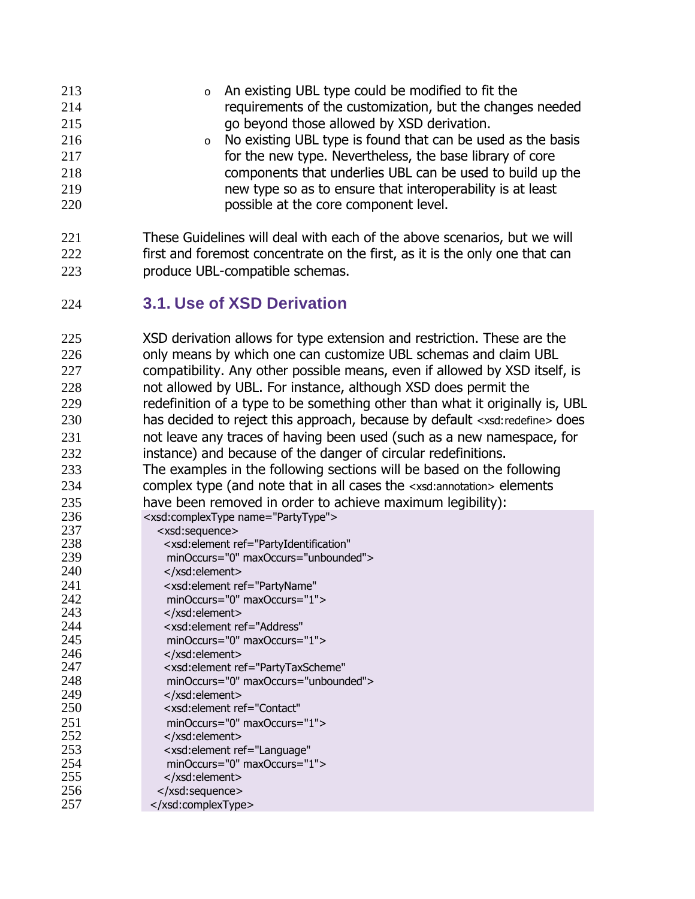- o An existing UBL type could be modified to fit the requirements of the customization, but the changes needed go beyond those allowed by XSD derivation. **b 216** o No existing UBL type is found that can be used as the basis for the new type. Nevertheless, the base library of core components that underlies UBL can be used to build up the new type so as to ensure that interoperability is at least **possible at the core component level.**
- These Guidelines will deal with each of the above scenarios, but we will first and foremost concentrate on the first, as it is the only one that can produce UBL-compatible schemas.

#### **3.1. Use of XSD Derivation**

 XSD derivation allows for type extension and restriction. These are the only means by which one can customize UBL schemas and claim UBL compatibility. Any other possible means, even if allowed by XSD itself, is not allowed by UBL. For instance, although XSD does permit the redefinition of a type to be something other than what it originally is, UBL has decided to reject this approach, because by default <xsd:redefine> does not leave any traces of having been used (such as a new namespace, for instance) and because of the danger of circular redefinitions. The examples in the following sections will be based on the following complex type (and note that in all cases the <xsd:annotation> elements 235 have been removed in order to achieve maximum legibility):<br>236  $\sim$  <xsd:complexType name="PartyType"> 236 <xsd:complexType name="PartyType"><br>237 <xsd:sequence> 237 <xsd:sequence><br>238 <xsd:element re 238 <xsd:element ref="PartyIdentification"<br>239 minOccurs="0" maxOccurs="unbounde 239 minOccurs="0" maxOccurs="unbounded"><br>240 </xsd:element> </xsd:element> 241 <xsd:element ref="PartyName"<br>242 minOccurs="0" maxOccurs="1" 242 minOccurs="0" maxOccurs="1"><br>243 </xsd:element> 243 </xsd:element><br>244 <xsd:element re 244 <xsd:element ref="Address"<br>245 minOccurs="0" maxOccurs=

| 245 | minOccurs="0" maxOccurs="1">                                |
|-----|-------------------------------------------------------------|
| 246 |                                                             |
| 247 | <xsd:element <="" ref="PartyTaxScheme" td=""></xsd:element> |
| 248 | minOccurs="0" maxOccurs="unbounded">                        |
| 249 |                                                             |
| 250 | <xsd:element <="" ref="Contact" td=""></xsd:element>        |
| 251 | $minOccurs="0" maxOccurs="1"$                               |
| 252 |                                                             |
| 253 | <xsd:element <="" ref="Language" td=""></xsd:element>       |
| 254 | minOccurs="0" maxOccurs="1">                                |
| 255 |                                                             |
| 256 |                                                             |
| 257 |                                                             |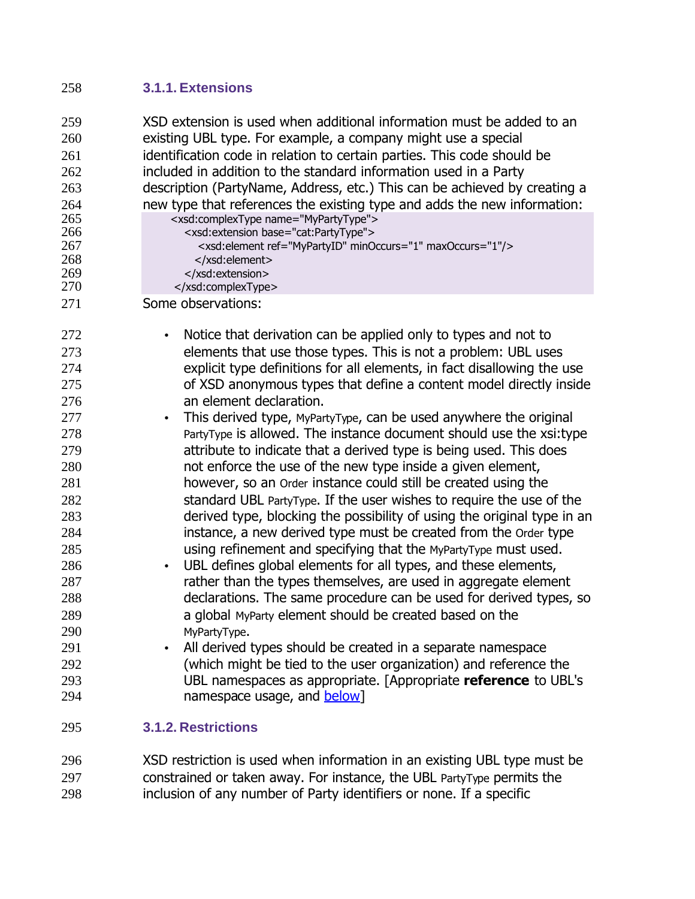#### **3.1.1. Extensions**

| 259        | XSD extension is used when additional information must be added to an       |
|------------|-----------------------------------------------------------------------------|
| 260        | existing UBL type. For example, a company might use a special               |
| 261        | identification code in relation to certain parties. This code should be     |
| 262        | included in addition to the standard information used in a Party            |
| 263        | description (PartyName, Address, etc.) This can be achieved by creating a   |
| 264        | new type that references the existing type and adds the new information:    |
| 265        | <xsd:complextype name="MyPartyType"></xsd:complextype>                      |
| 266        | <xsd:extension base="cat:PartyType"></xsd:extension>                        |
| 267        | <xsd:element maxoccurs="1" minoccurs="1" ref="MyPartyID"></xsd:element>     |
| 268        |                                                                             |
| 269<br>270 |                                                                             |
|            |                                                                             |
| 271        | Some observations:                                                          |
|            |                                                                             |
| 272        | Notice that derivation can be applied only to types and not to              |
| 273        | elements that use those types. This is not a problem: UBL uses              |
| 274        | explicit type definitions for all elements, in fact disallowing the use     |
| 275        | of XSD anonymous types that define a content model directly inside          |
| 276        | an element declaration.                                                     |
| 277        | This derived type, MyPartyType, can be used anywhere the original           |
| 278        | PartyType is allowed. The instance document should use the xsi:type         |
| 279        | attribute to indicate that a derived type is being used. This does          |
| 280        | not enforce the use of the new type inside a given element,                 |
| 281        | however, so an Order instance could still be created using the              |
| 282        | standard UBL PartyType. If the user wishes to require the use of the        |
| 283        | derived type, blocking the possibility of using the original type in an     |
| 284        | instance, a new derived type must be created from the Order type            |
| 285        | using refinement and specifying that the MyPartyType must used.             |
| 286        | UBL defines global elements for all types, and these elements,<br>$\bullet$ |
| 287        | rather than the types themselves, are used in aggregate element             |
| 288        | declarations. The same procedure can be used for derived types, so          |
| 289        | a global MyParty element should be created based on the                     |
| 290        | MyPartyType.                                                                |
| 291        | All derived types should be created in a separate namespace                 |
|            |                                                                             |
| 292        | (which might be tied to the user organization) and reference the            |
| 293        | UBL namespaces as appropriate. [Appropriate reference to UBL's              |
| 294        | namespace usage, and <b>below</b> ]                                         |
| 295        | 3.1.2. Restrictions                                                         |

 XSD restriction is used when information in an existing UBL type must be 297 constrained or taken away. For instance, the UBL PartyType permits the 298 inclusion of any number of Party identifiers or none. If a specific inclusion of any number of Party identifiers or none. If a specific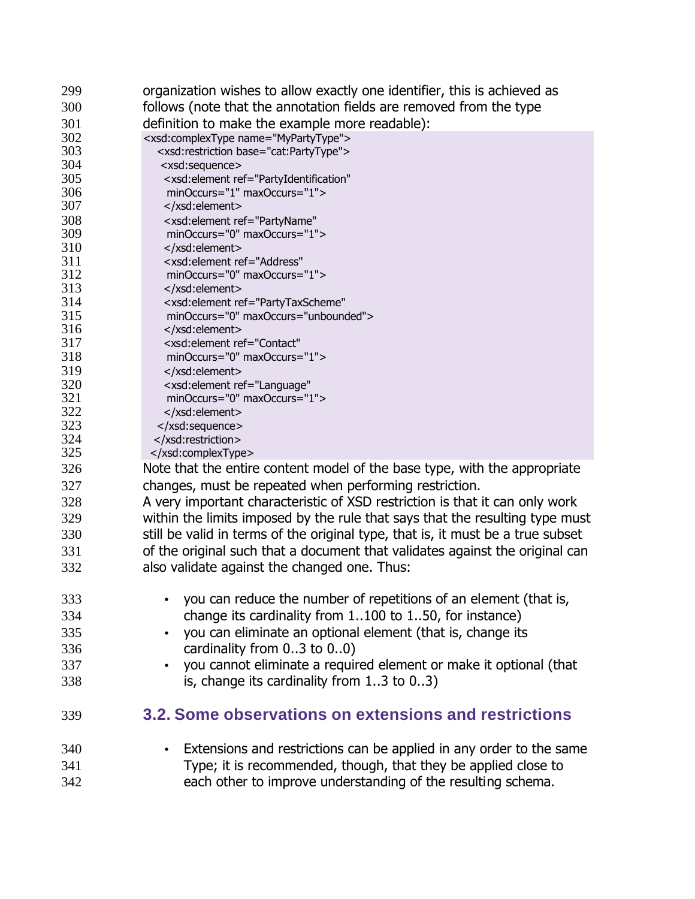| 299 | organization wishes to allow exactly one identifier, this is achieved as        |
|-----|---------------------------------------------------------------------------------|
| 300 | follows (note that the annotation fields are removed from the type              |
| 301 | definition to make the example more readable):                                  |
| 302 | <xsd:complextype name="MyPartyType"></xsd:complextype>                          |
| 303 | <xsd:restriction base="cat:PartyType"></xsd:restriction>                        |
| 304 | <xsd:sequence></xsd:sequence>                                                   |
| 305 | <xsd:element <="" ref="PartyIdentification" td=""></xsd:element>                |
| 306 | minOccurs="1" maxOccurs="1">                                                    |
| 307 |                                                                                 |
| 308 | <xsd:element <="" ref="PartyName" td=""></xsd:element>                          |
| 309 | minOccurs="0" maxOccurs="1">                                                    |
| 310 |                                                                                 |
| 311 | <xsd:element <="" ref="Address" td=""></xsd:element>                            |
| 312 | minOccurs="0" maxOccurs="1">                                                    |
| 313 |                                                                                 |
| 314 | <xsd:element <="" ref="PartyTaxScheme" td=""></xsd:element>                     |
| 315 | minOccurs="0" maxOccurs="unbounded">                                            |
| 316 |                                                                                 |
| 317 | <xsd:element <="" ref="Contact" td=""></xsd:element>                            |
| 318 | minOccurs="0" maxOccurs="1">                                                    |
| 319 |                                                                                 |
| 320 | <xsd:element <="" ref="Language" td=""></xsd:element>                           |
| 321 | minOccurs="0" maxOccurs="1">                                                    |
| 322 |                                                                                 |
| 323 |                                                                                 |
| 324 |                                                                                 |
| 325 |                                                                                 |
| 326 | Note that the entire content model of the base type, with the appropriate       |
| 327 | changes, must be repeated when performing restriction.                          |
| 328 | A very important characteristic of XSD restriction is that it can only work     |
| 329 | within the limits imposed by the rule that says that the resulting type must    |
| 330 | still be valid in terms of the original type, that is, it must be a true subset |
| 331 | of the original such that a document that validates against the original can    |
| 332 | also validate against the changed one. Thus:                                    |
|     |                                                                                 |
| 333 | you can reduce the number of repetitions of an element (that is,                |
| 334 | change its cardinality from 1100 to 150, for instance)                          |
| 335 | you can eliminate an optional element (that is, change its                      |
|     |                                                                                 |
| 336 | cardinality from 03 to 00)                                                      |
| 337 | you cannot eliminate a required element or make it optional (that               |
| 338 | is, change its cardinality from 13 to 03)                                       |
| 339 | 3.2. Some observations on extensions and restrictions                           |
|     |                                                                                 |
| 340 | Extensions and restrictions can be applied in any order to the same             |
| 341 | Type; it is recommended, though, that they be applied close to                  |
| 342 | each other to improve understanding of the resulting schema.                    |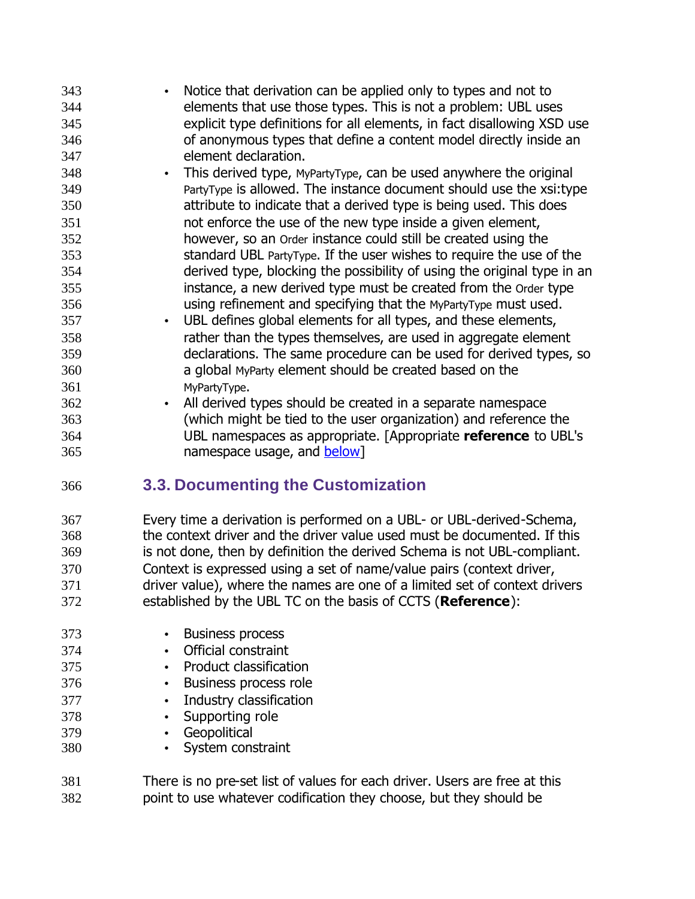- Notice that derivation can be applied only to types and not to elements that use those types. This is not a problem: UBL uses explicit type definitions for all elements, in fact disallowing XSD use of anonymous types that define a content model directly inside an element declaration.
- This derived type, MyPartyType, can be used anywhere the original PartyType is allowed. The instance document should use the xsi:type attribute to indicate that a derived type is being used. This does not enforce the use of the new type inside a given element, however, so an Order instance could still be created using the standard UBL PartyType. If the user wishes to require the use of the derived type, blocking the possibility of using the original type in an instance, a new derived type must be created from the Order type using refinement and specifying that the MyPartyType must used.
- UBL defines global elements for all types, and these elements, rather than the types themselves, are used in aggregate element declarations. The same procedure can be used for derived types, so a global MyParty element should be created based on the MyPartyType.
- All derived types should be created in a separate namespace (which might be tied to the user organization) and reference the UBL namespaces as appropriate. [Appropriate **reference** to UBL's namespace usage, and below]

#### **3.3. Documenting the Customization**

 Every time a derivation is performed on a UBL- or UBL-derived-Schema, the context driver and the driver value used must be documented. If this is not done, then by definition the derived Schema is not UBL-compliant. Context is expressed using a set of name/value pairs (context driver, driver value), where the names are one of a limited set of context drivers established by the UBL TC on the basis of CCTS (**Reference**):

- Business process
- Official constraint
- Product classification
- Business process role
- Industry classification
- Supporting role
- Geopolitical
- System constraint

 There is no pre-set list of values for each driver. Users are free at this point to use whatever codification they choose, but they should be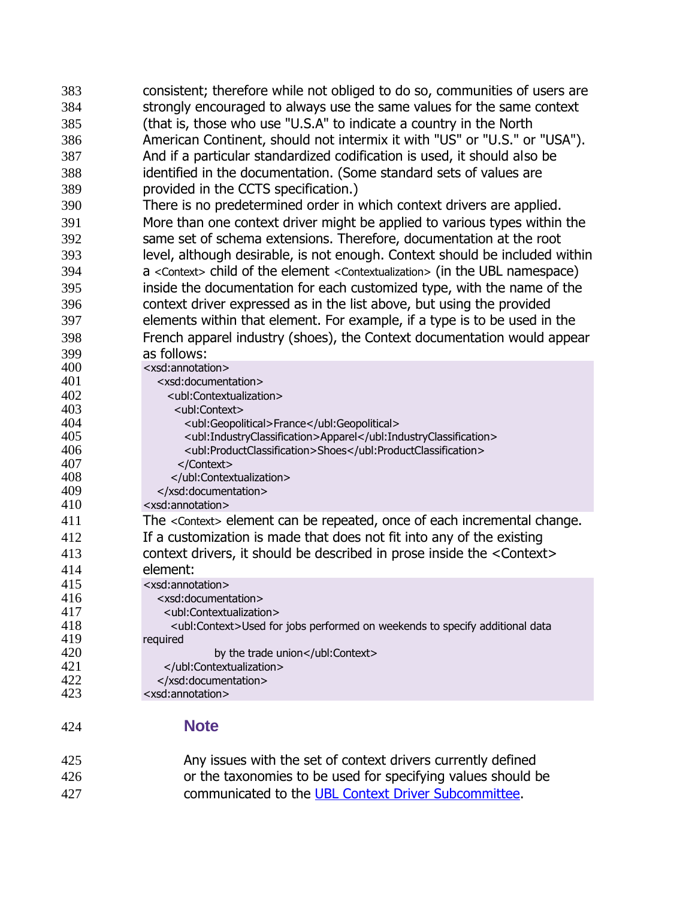| 383        | consistent; therefore while not obliged to do so, communities of users are                                |
|------------|-----------------------------------------------------------------------------------------------------------|
| 384        | strongly encouraged to always use the same values for the same context                                    |
| 385        | (that is, those who use "U.S.A" to indicate a country in the North                                        |
| 386        | American Continent, should not intermix it with "US" or "U.S." or "USA").                                 |
| 387        | And if a particular standardized codification is used, it should also be                                  |
| 388        | identified in the documentation. (Some standard sets of values are                                        |
| 389        | provided in the CCTS specification.)                                                                      |
|            |                                                                                                           |
| 390        | There is no predetermined order in which context drivers are applied.                                     |
| 391        | More than one context driver might be applied to various types within the                                 |
| 392        | same set of schema extensions. Therefore, documentation at the root                                       |
| 393        | level, although desirable, is not enough. Context should be included within                               |
| 394        | a <context> child of the element <contextualization> (in the UBL namespace)</contextualization></context> |
| 395        | inside the documentation for each customized type, with the name of the                                   |
| 396        | context driver expressed as in the list above, but using the provided                                     |
| 397        | elements within that element. For example, if a type is to be used in the                                 |
| 398        | French apparel industry (shoes), the Context documentation would appear                                   |
| 399        | as follows:                                                                                               |
| 400        | <xsd:annotation></xsd:annotation>                                                                         |
| 401        | <xsd:documentation></xsd:documentation>                                                                   |
| 402        | <ubl:contextualization></ubl:contextualization>                                                           |
| 403        | <ubl:context></ubl:context>                                                                               |
| 404        | <ubl:geopolitical>France</ubl:geopolitical>                                                               |
| 405        | <ubl:industryclassification>Apparel</ubl:industryclassification>                                          |
| 406        | <ubl:productclassification>Shoes</ubl:productclassification>                                              |
| 407        |                                                                                                           |
| 408<br>409 | <br>                                                                                                      |
| 410        | <xsd:annotation></xsd:annotation>                                                                         |
| 411        | The <context> element can be repeated, once of each incremental change.</context>                         |
| 412        | If a customization is made that does not fit into any of the existing                                     |
| 413        | context drivers, it should be described in prose inside the <context></context>                           |
| 414        | element:                                                                                                  |
| 415        | <xsd:annotation></xsd:annotation>                                                                         |
| 416        | <xsd:documentation></xsd:documentation>                                                                   |
| 417        | <ubl:contextualization></ubl:contextualization>                                                           |
| 418        | <ubl:context>Used for jobs performed on weekends to specify additional data</ubl:context>                 |
| 419        | required                                                                                                  |
| 420        | by the trade union                                                                                        |
| 421        |                                                                                                           |
| 422        |                                                                                                           |
| 423        | <xsd:annotation></xsd:annotation>                                                                         |
|            |                                                                                                           |

## **Note**

| 425 | Any issues with the set of context drivers currently defined |
|-----|--------------------------------------------------------------|
| 426 | or the taxonomies to be used for specifying values should be |
| 427 | communicated to the UBL Context Driver Subcommittee.         |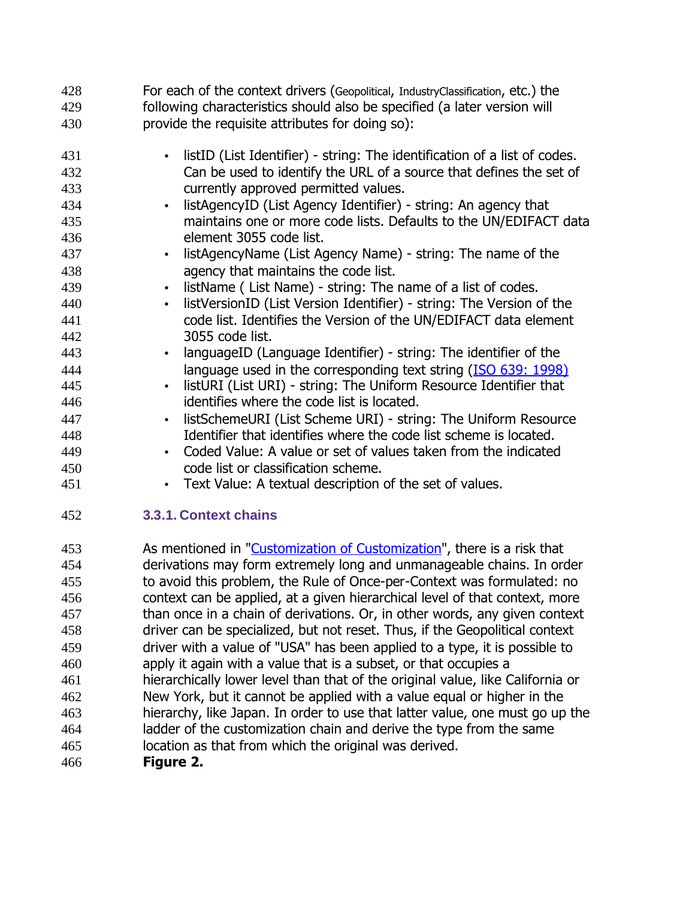| 428 | For each of the context drivers (Geopolitical, IndustryClassification, etc.) the  |
|-----|-----------------------------------------------------------------------------------|
| 429 | following characteristics should also be specified (a later version will          |
| 430 | provide the requisite attributes for doing so):                                   |
| 431 | listID (List Identifier) - string: The identification of a list of codes.         |
| 432 | Can be used to identify the URL of a source that defines the set of               |
| 433 | currently approved permitted values.                                              |
| 434 | listAgencyID (List Agency Identifier) - string: An agency that<br>$\bullet$       |
| 435 | maintains one or more code lists. Defaults to the UN/EDIFACT data                 |
| 436 | element 3055 code list.                                                           |
| 437 | listAgencyName (List Agency Name) - string: The name of the<br>$\bullet$          |
| 438 | agency that maintains the code list.                                              |
| 439 | listName (List Name) - string: The name of a list of codes.<br>$\bullet$          |
| 440 | listVersionID (List Version Identifier) - string: The Version of the<br>$\bullet$ |
| 441 | code list. Identifies the Version of the UN/EDIFACT data element                  |
| 442 | 3055 code list.                                                                   |
| 443 | languageID (Language Identifier) - string: The identifier of the                  |
| 444 | language used in the corresponding text string (ISO 639: 1998)                    |
| 445 | listURI (List URI) - string: The Uniform Resource Identifier that                 |
| 446 | identifies where the code list is located.                                        |
| 447 | listSchemeURI (List Scheme URI) - string: The Uniform Resource                    |
| 448 | Identifier that identifies where the code list scheme is located.                 |
| 449 | Coded Value: A value or set of values taken from the indicated                    |
| 450 | code list or classification scheme.                                               |
| 451 | Text Value: A textual description of the set of values.                           |
| 452 | 3.3.1. Context chains                                                             |
| 453 | As mentioned in "Customization of Customization", there is a risk that            |
| 454 | derivations may form extremely long and unmanageable chains. In order             |
| 455 | to avoid this problem, the Rule of Once-per-Context was formulated: no            |

 to avoid this problem, the Rule of Once-per-Context was formulated: no context can be applied, at a given hierarchical level of that context, more than once in a chain of derivations. Or, in other words, any given context driver can be specialized, but not reset. Thus, if the Geopolitical context driver with a value of "USA" has been applied to a type, it is possible to apply it again with a value that is a subset, or that occupies a hierarchically lower level than that of the original value, like California or New York, but it cannot be applied with a value equal or higher in the hierarchy, like Japan. In order to use that latter value, one must go up the ladder of the customization chain and derive the type from the same location as that from which the original was derived. **Figure 2.**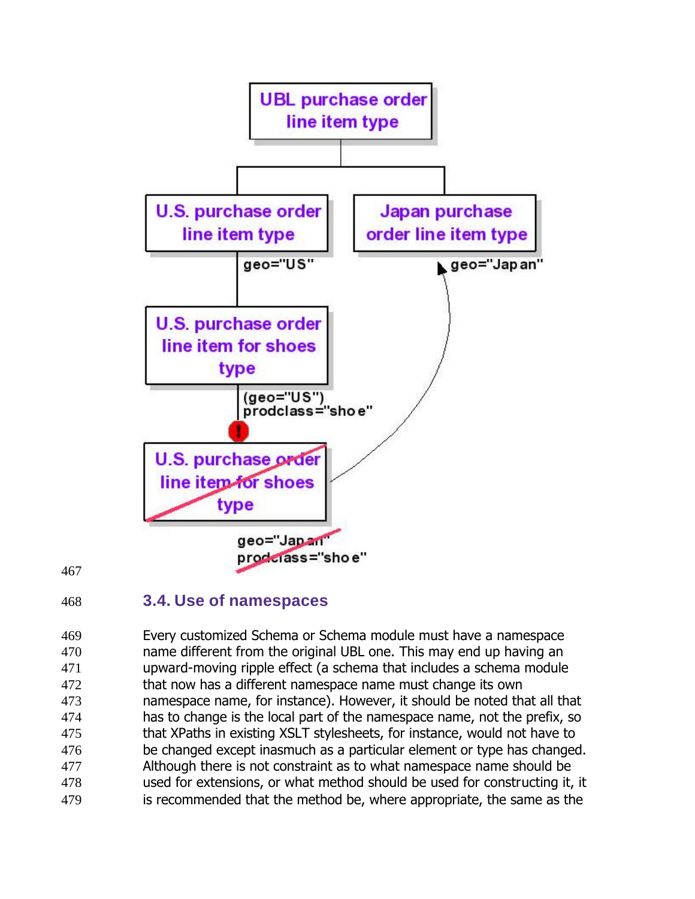

#### **3.4. Use of namespaces**

 Every customized Schema or Schema module must have a namespace name different from the original UBL one. This may end up having an upward-moving ripple effect (a schema that includes a schema module that now has a different namespace name must change its own namespace name, for instance). However, it should be noted that all that has to change is the local part of the namespace name, not the prefix, so that XPaths in existing XSLT stylesheets, for instance, would not have to be changed except inasmuch as a particular element or type has changed. Although there is not constraint as to what namespace name should be used for extensions, or what method should be used for constructing it, it is recommended that the method be, where appropriate, the same as the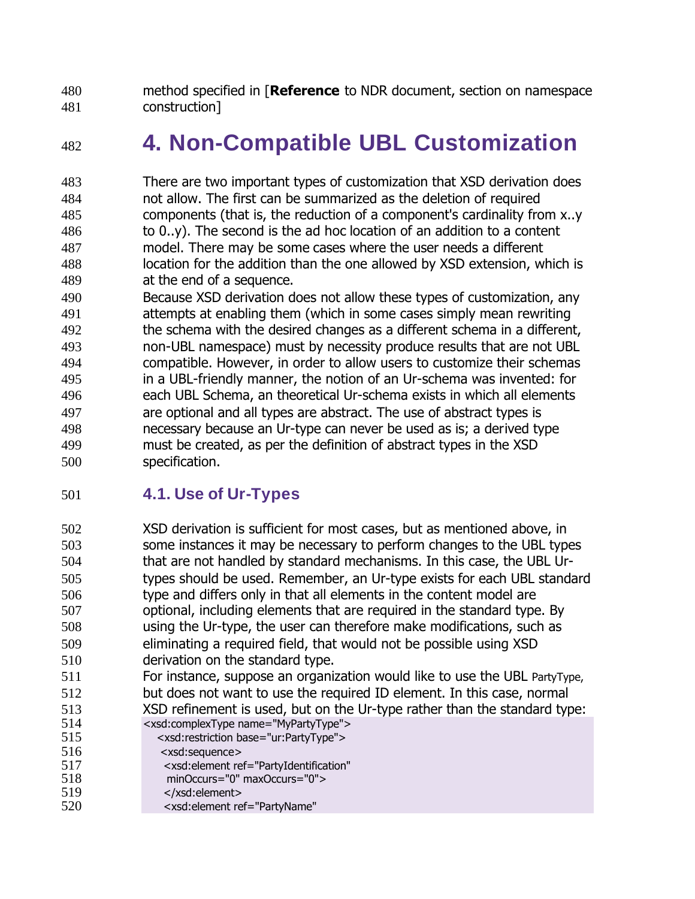method specified in [**Reference** to NDR document, section on namespace construction]

## **4. Non-Compatible UBL Customization**

 There are two important types of customization that XSD derivation does not allow. The first can be summarized as the deletion of required components (that is, the reduction of a component's cardinality from x..y to 0..y). The second is the ad hoc location of an addition to a content model. There may be some cases where the user needs a different location for the addition than the one allowed by XSD extension, which is at the end of a sequence.

 Because XSD derivation does not allow these types of customization, any attempts at enabling them (which in some cases simply mean rewriting the schema with the desired changes as a different schema in a different, non-UBL namespace) must by necessity produce results that are not UBL compatible. However, in order to allow users to customize their schemas in a UBL-friendly manner, the notion of an Ur-schema was invented: for each UBL Schema, an theoretical Ur-schema exists in which all elements are optional and all types are abstract. The use of abstract types is necessary because an Ur-type can never be used as is; a derived type must be created, as per the definition of abstract types in the XSD specification.

## **4.1. Use of Ur-Types**

- XSD derivation is sufficient for most cases, but as mentioned above, in some instances it may be necessary to perform changes to the UBL types that are not handled by standard mechanisms. In this case, the UBL Ur- types should be used. Remember, an Ur-type exists for each UBL standard type and differs only in that all elements in the content model are optional, including elements that are required in the standard type. By using the Ur-type, the user can therefore make modifications, such as eliminating a required field, that would not be possible using XSD derivation on the standard type.
- For instance, suppose an organization would like to use the UBL PartyType, but does not want to use the required ID element. In this case, normal 513 XSD refinement is used, but on the Ur-type rather than the standard type:<br>514 Sasa:complexType name="MyPartyType"> <xsd:complexType name="MyPartyType">

<xsd:restriction base="ur:PartyType"> <xsd:sequence> <xsd:element ref="PartyIdentification" 518 minOccurs="0" maxOccurs="0"><br>519 </xsd:element> </xsd:element> <xsd:element ref="PartyName"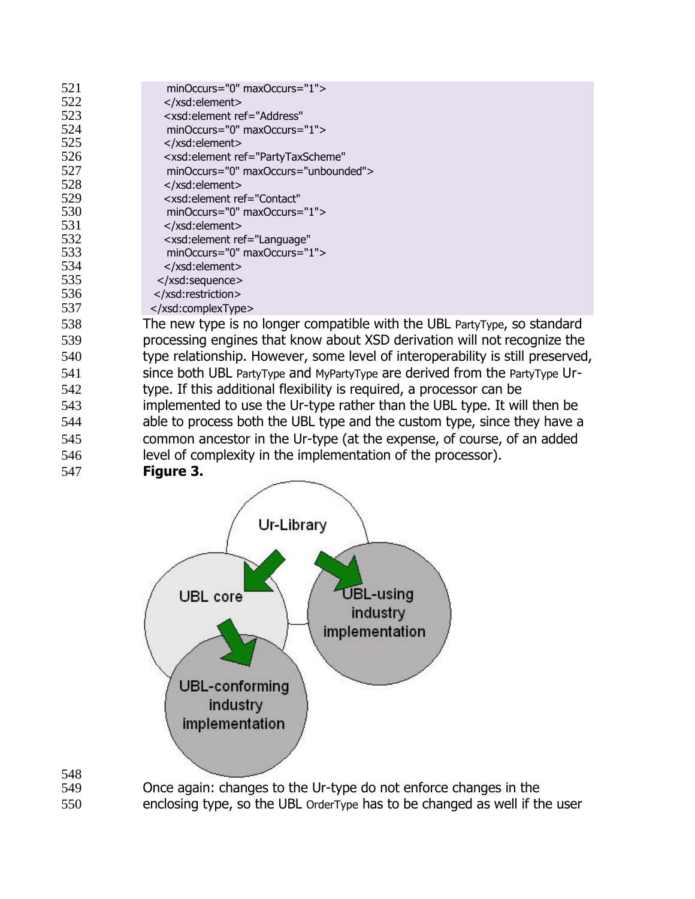| 521 | minOccurs="0" maxOccurs="1">                                                   |
|-----|--------------------------------------------------------------------------------|
| 522 |                                                                                |
| 523 | <xsd:element <="" ref="Address" td=""></xsd:element>                           |
| 524 | minOccurs="0" maxOccurs="1">                                                   |
| 525 |                                                                                |
| 526 | <xsd:element <="" ref="PartyTaxScheme" td=""></xsd:element>                    |
| 527 | minOccurs="0" maxOccurs="unbounded">                                           |
| 528 | $\langle x\mathsf{S}$ d:element $\rangle$                                      |
| 529 | <xsd:element <="" ref="Contact" td=""></xsd:element>                           |
| 530 | minOccurs="0" maxOccurs="1">                                                   |
| 531 |                                                                                |
| 532 | <xsd:element <="" ref="Language" td=""></xsd:element>                          |
| 533 | minOccurs="0" maxOccurs="1">                                                   |
| 534 |                                                                                |
| 535 |                                                                                |
| 536 |                                                                                |
| 537 |                                                                                |
| 538 | The new type is no longer compatible with the UBL PartyType, so standard       |
| 539 | processing engines that know about XSD derivation will not recognize the       |
| 540 | type relationship. However, some level of interoperability is still preserved, |
| 541 | since both UBL PartyType and MyPartyType are derived from the PartyType Ur-    |
|     |                                                                                |

 type. If this additional flexibility is required, a processor can be implemented to use the Ur-type rather than the UBL type. It will then be able to process both the UBL type and the custom type, since they have a common ancestor in the Ur-type (at the expense, of course, of an added level of complexity in the implementation of the processor).





548<br>549

Once again: changes to the Ur-type do not enforce changes in the enclosing type, so the UBL OrderType has to be changed as well if the user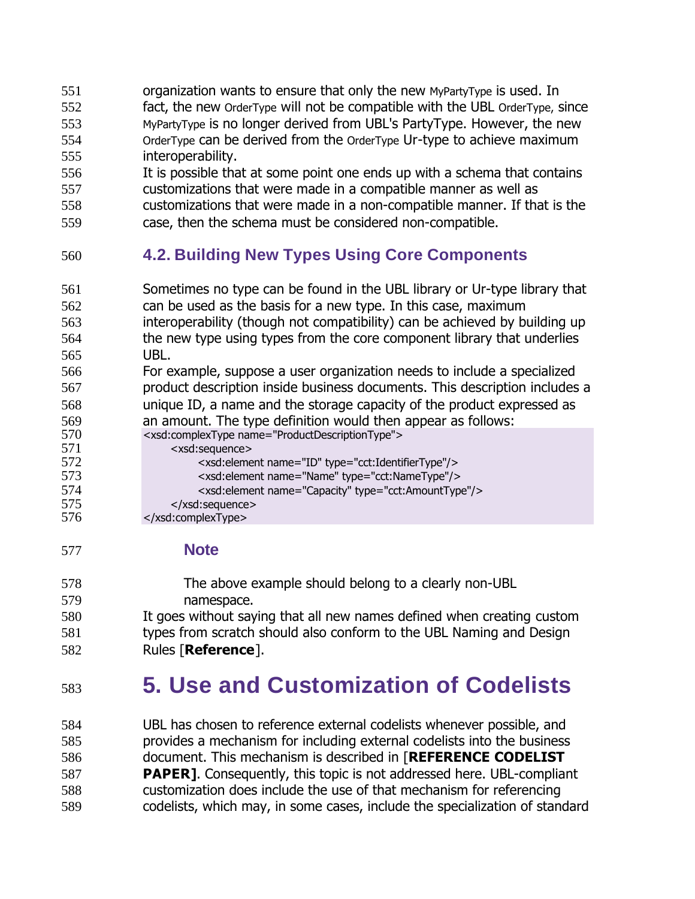- organization wants to ensure that only the new MyPartyType is used. In fact, the new OrderType will not be compatible with the UBL OrderType, since MyPartyType is no longer derived from UBL's PartyType. However, the new OrderType can be derived from the OrderType Ur-type to achieve maximum interoperability.
- It is possible that at some point one ends up with a schema that contains customizations that were made in a compatible manner as well as customizations that were made in a non-compatible manner. If that is the case, then the schema must be considered non-compatible.

## **4.2. Building New Types Using Core Components**

- Sometimes no type can be found in the UBL library or Ur-type library that can be used as the basis for a new type. In this case, maximum interoperability (though not compatibility) can be achieved by building up the new type using types from the core component library that underlies UBL. For example, suppose a user organization needs to include a specialized product description inside business documents. This description includes a unique ID, a name and the storage capacity of the product expressed as an amount. The type definition would then appear as follows: 570 <xsd:complexType name="ProductDescriptionType"><br>571 <xsd:sequence>
- 571 <xsd:sequence><br>572 <xsd:eleme
- <xsd:element name="ID" type="cct:IdentifierType"/> <xsd:element name="Name" type="cct:NameType"/> <xsd:element name="Capacity" type="cct:AmountType"/> 575 </xsd:sequence><br>576 </xsd:complexType> </xsd:complexType>
- **Note**
- The above example should belong to a clearly non-UBL
- namespace.
- It goes without saying that all new names defined when creating custom types from scratch should also conform to the UBL Naming and Design Rules [**Reference**].

## **5. Use and Customization of Codelists**

 UBL has chosen to reference external codelists whenever possible, and provides a mechanism for including external codelists into the business document. This mechanism is described in [**REFERENCE CODELIST PAPER]**. Consequently, this topic is not addressed here. UBL-compliant customization does include the use of that mechanism for referencing codelists, which may, in some cases, include the specialization of standard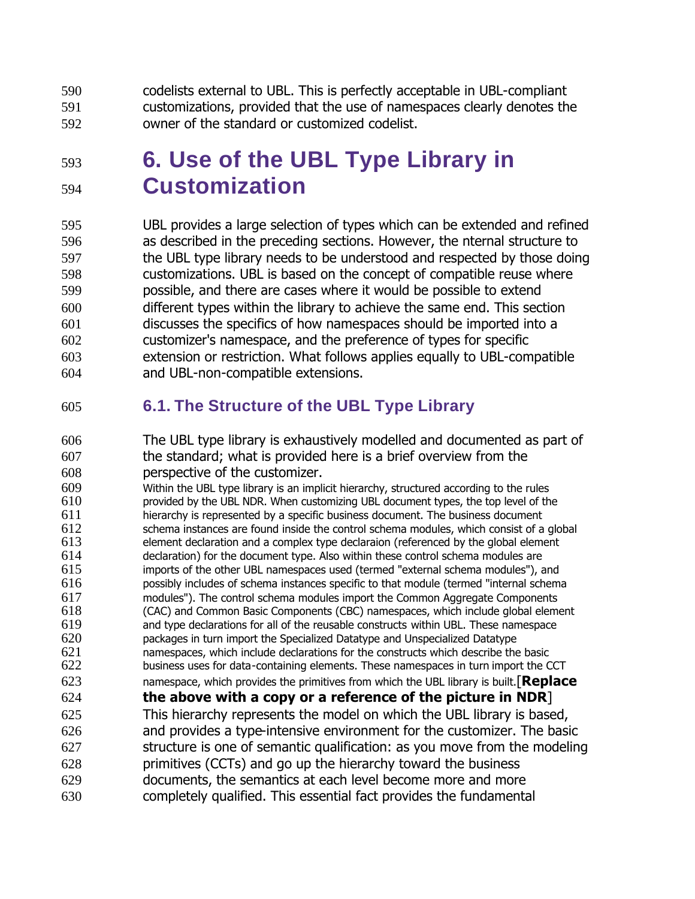codelists external to UBL. This is perfectly acceptable in UBL-compliant customizations, provided that the use of namespaces clearly denotes the owner of the standard or customized codelist.

## **6. Use of the UBL Type Library in Customization**

 UBL provides a large selection of types which can be extended and refined as described in the preceding sections. However, the nternal structure to the UBL type library needs to be understood and respected by those doing customizations. UBL is based on the concept of compatible reuse where possible, and there are cases where it would be possible to extend different types within the library to achieve the same end. This section discusses the specifics of how namespaces should be imported into a customizer's namespace, and the preference of types for specific extension or restriction. What follows applies equally to UBL-compatible and UBL-non-compatible extensions.

## **6.1. The Structure of the UBL Type Library**

 The UBL type library is exhaustively modelled and documented as part of the standard; what is provided here is a brief overview from the perspective of the customizer.

609 Within the UBL type library is an implicit hierarchy, structured according to the rules<br>610 provided by the UBL NDR. When customizing UBL document types, the top level of th provided by the UBL NDR. When customizing UBL document types, the top level of the hierarchy is represented by a specific business document. The business document schema instances are found inside the control schema modules, which consist of a global  $613$  element declaration and a complex type declaration (referenced by the global element element declaration and a complex type declaraion (referenced by the global element  $614$  declaration) for the document type. Also within these control schema modules are declaration) for the document type. Also within these control schema modules are  $615$  imports of the other UBL namespaces used (termed "external schema modules"), a imports of the other UBL namespaces used (termed "external schema modules"), and possibly includes of schema instances specific to that module (termed "internal schema 617 modules"). The control schema modules import the Common Aggregate Components<br>618 (CAC) and Common Basic Components (CBC) namespaces, which include alobal elem 618 (CAC) and Common Basic Components (CBC) namespaces, which include global element<br>619 and type declarations for all of the reusable constructs within UBL. These namespace and type declarations for all of the reusable constructs within UBL. These namespace packages in turn import the Specialized Datatype and Unspecialized Datatype namespaces, which include declarations for the constructs which describe the basic business uses for data-containing elements. These namespaces in turn import the CCT namespace, which provides the primitives from which the UBL library is built.[**Replace the above with a copy or a reference of the picture in NDR**] This hierarchy represents the model on which the UBL library is based, and provides a type-intensive environment for the customizer. The basic structure is one of semantic qualification: as you move from the modeling primitives (CCTs) and go up the hierarchy toward the business documents, the semantics at each level become more and more completely qualified. This essential fact provides the fundamental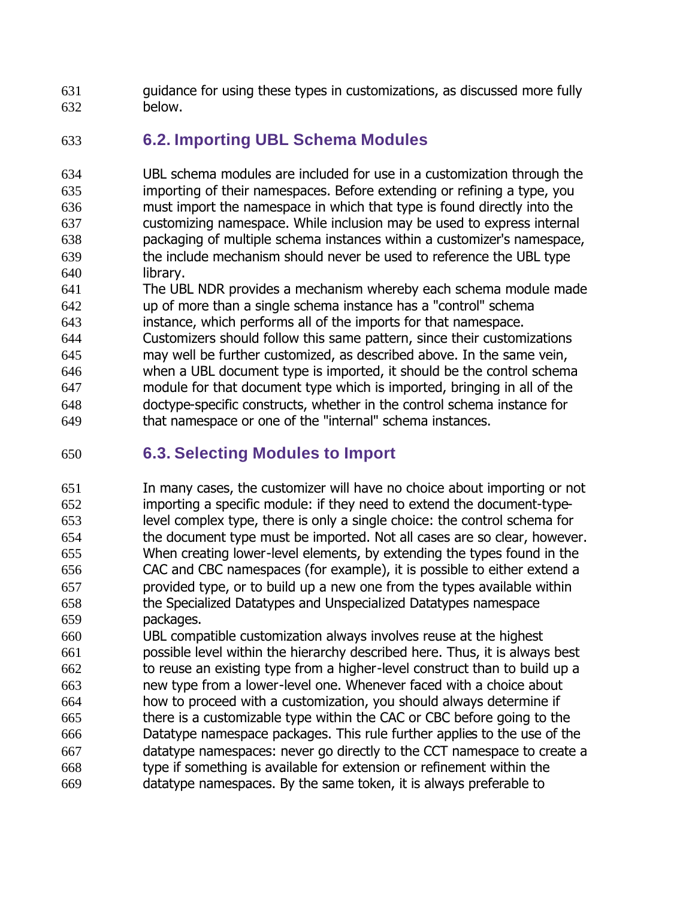guidance for using these types in customizations, as discussed more fully below.

#### **6.2. Importing UBL Schema Modules**

 UBL schema modules are included for use in a customization through the importing of their namespaces. Before extending or refining a type, you must import the namespace in which that type is found directly into the customizing namespace. While inclusion may be used to express internal packaging of multiple schema instances within a customizer's namespace, the include mechanism should never be used to reference the UBL type library.

- The UBL NDR provides a mechanism whereby each schema module made up of more than a single schema instance has a "control" schema instance, which performs all of the imports for that namespace.
- Customizers should follow this same pattern, since their customizations may well be further customized, as described above. In the same vein, when a UBL document type is imported, it should be the control schema module for that document type which is imported, bringing in all of the doctype-specific constructs, whether in the control schema instance for that namespace or one of the "internal" schema instances.

#### **6.3. Selecting Modules to Import**

 In many cases, the customizer will have no choice about importing or not importing a specific module: if they need to extend the document-type- level complex type, there is only a single choice: the control schema for the document type must be imported. Not all cases are so clear, however. When creating lower-level elements, by extending the types found in the CAC and CBC namespaces (for example), it is possible to either extend a provided type, or to build up a new one from the types available within the Specialized Datatypes and Unspecialized Datatypes namespace packages.

 UBL compatible customization always involves reuse at the highest possible level within the hierarchy described here. Thus, it is always best to reuse an existing type from a higher-level construct than to build up a new type from a lower-level one. Whenever faced with a choice about how to proceed with a customization, you should always determine if there is a customizable type within the CAC or CBC before going to the Datatype namespace packages. This rule further applies to the use of the datatype namespaces: never go directly to the CCT namespace to create a type if something is available for extension or refinement within the datatype namespaces. By the same token, it is always preferable to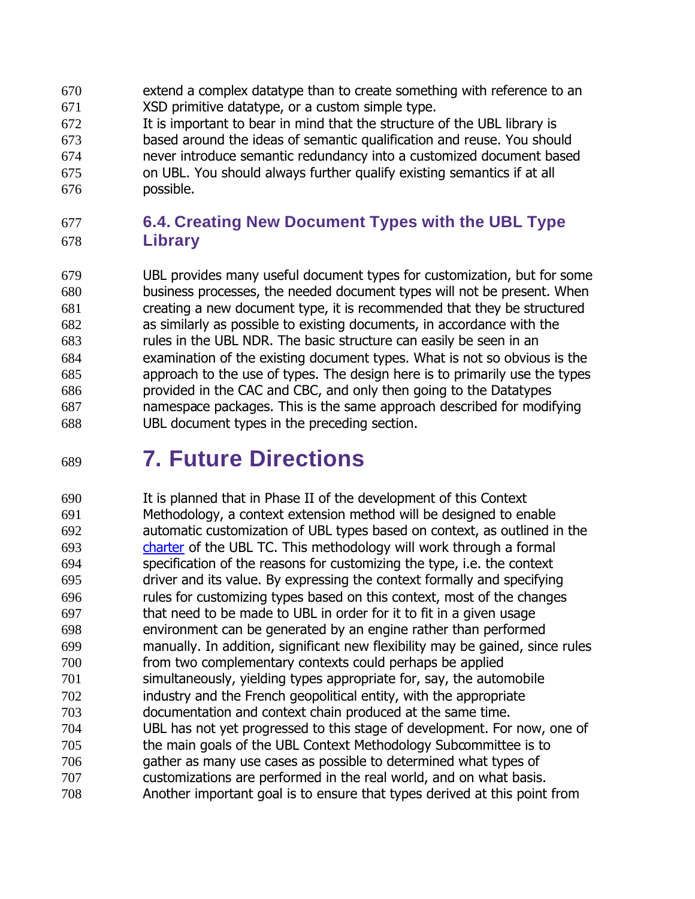- extend a complex datatype than to create something with reference to an XSD primitive datatype, or a custom simple type.
- It is important to bear in mind that the structure of the UBL library is based around the ideas of semantic qualification and reuse. You should never introduce semantic redundancy into a customized document based on UBL. You should always further qualify existing semantics if at all possible.

## **6.4. Creating New Document Types with the UBL Type Library**

 UBL provides many useful document types for customization, but for some business processes, the needed document types will not be present. When creating a new document type, it is recommended that they be structured as similarly as possible to existing documents, in accordance with the rules in the UBL NDR. The basic structure can easily be seen in an examination of the existing document types. What is not so obvious is the approach to the use of types. The design here is to primarily use the types provided in the CAC and CBC, and only then going to the Datatypes namespace packages. This is the same approach described for modifying UBL document types in the preceding section.

## **7. Future Directions**

 It is planned that in Phase II of the development of this Context Methodology, a context extension method will be designed to enable automatic customization of UBL types based on context, as outlined in the charter of the UBL TC. This methodology will work through a formal specification of the reasons for customizing the type, i.e. the context driver and its value. By expressing the context formally and specifying rules for customizing types based on this context, most of the changes that need to be made to UBL in order for it to fit in a given usage environment can be generated by an engine rather than performed manually. In addition, significant new flexibility may be gained, since rules from two complementary contexts could perhaps be applied simultaneously, yielding types appropriate for, say, the automobile industry and the French geopolitical entity, with the appropriate documentation and context chain produced at the same time. UBL has not yet progressed to this stage of development. For now, one of the main goals of the UBL Context Methodology Subcommittee is to gather as many use cases as possible to determined what types of customizations are performed in the real world, and on what basis. Another important goal is to ensure that types derived at this point from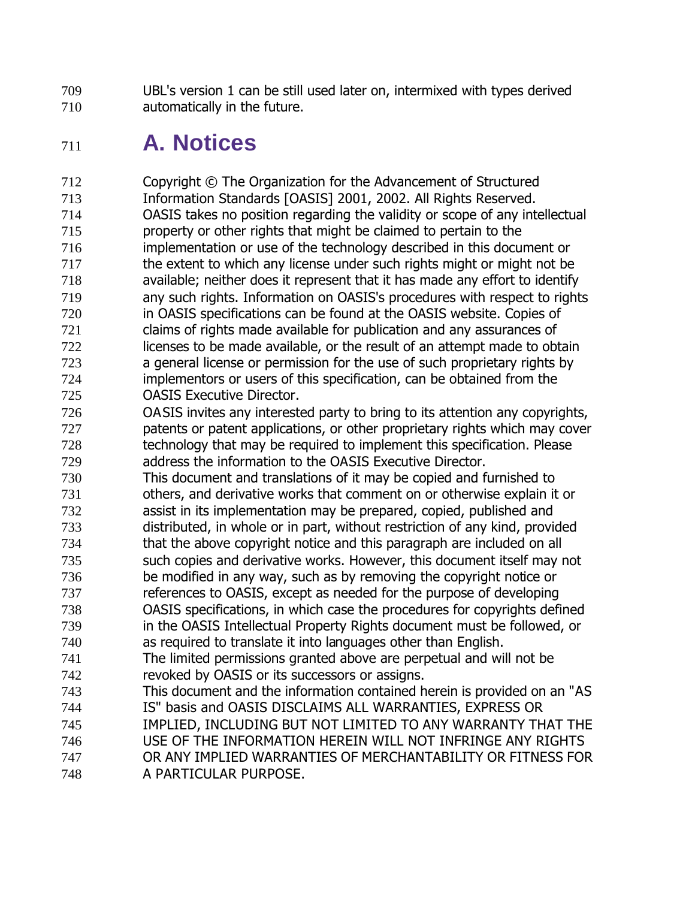UBL's version 1 can be still used later on, intermixed with types derived automatically in the future.

## **A. Notices**

 Copyright © The Organization for the Advancement of Structured Information Standards [OASIS] 2001, 2002. All Rights Reserved. OASIS takes no position regarding the validity or scope of any intellectual property or other rights that might be claimed to pertain to the implementation or use of the technology described in this document or the extent to which any license under such rights might or might not be available; neither does it represent that it has made any effort to identify any such rights. Information on OASIS's procedures with respect to rights in OASIS specifications can be found at the OASIS website. Copies of claims of rights made available for publication and any assurances of licenses to be made available, or the result of an attempt made to obtain a general license or permission for the use of such proprietary rights by implementors or users of this specification, can be obtained from the OASIS Executive Director.

- OASIS invites any interested party to bring to its attention any copyrights, patents or patent applications, or other proprietary rights which may cover technology that may be required to implement this specification. Please address the information to the OASIS Executive Director.
- This document and translations of it may be copied and furnished to others, and derivative works that comment on or otherwise explain it or assist in its implementation may be prepared, copied, published and distributed, in whole or in part, without restriction of any kind, provided that the above copyright notice and this paragraph are included on all
- such copies and derivative works. However, this document itself may not be modified in any way, such as by removing the copyright notice or references to OASIS, except as needed for the purpose of developing
- OASIS specifications, in which case the procedures for copyrights defined in the OASIS Intellectual Property Rights document must be followed, or as required to translate it into languages other than English.
- The limited permissions granted above are perpetual and will not be revoked by OASIS or its successors or assigns.
- This document and the information contained herein is provided on an "AS IS" basis and OASIS DISCLAIMS ALL WARRANTIES, EXPRESS OR IMPLIED, INCLUDING BUT NOT LIMITED TO ANY WARRANTY THAT THE
- USE OF THE INFORMATION HEREIN WILL NOT INFRINGE ANY RIGHTS OR ANY IMPLIED WARRANTIES OF MERCHANTABILITY OR FITNESS FOR A PARTICULAR PURPOSE.